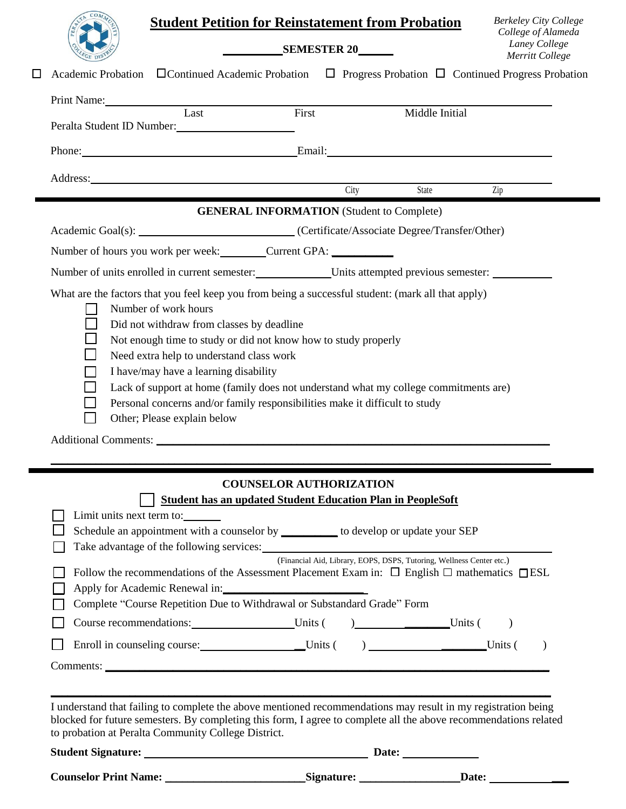| <b>Student Petition for Reinstatement from Probation</b> |                                                                             |                                                                                                                                                                                                                                   | <b>Berkeley City College</b>                           |
|----------------------------------------------------------|-----------------------------------------------------------------------------|-----------------------------------------------------------------------------------------------------------------------------------------------------------------------------------------------------------------------------------|--------------------------------------------------------|
|                                                          | SEMESTER 20                                                                 |                                                                                                                                                                                                                                   | College of Alameda<br>Laney College<br>Merritt College |
|                                                          |                                                                             | Academic Probation □ Continued Academic Probation □ Progress Probation □ Continued Progress Probation                                                                                                                             |                                                        |
| Print Name: Tast First                                   |                                                                             |                                                                                                                                                                                                                                   |                                                        |
| Peralta Student ID Number:                               |                                                                             | Middle Initial                                                                                                                                                                                                                    |                                                        |
|                                                          |                                                                             | Phone: Email: Email:                                                                                                                                                                                                              |                                                        |
|                                                          | Address: City                                                               |                                                                                                                                                                                                                                   |                                                        |
|                                                          |                                                                             | State                                                                                                                                                                                                                             | Zip                                                    |
|                                                          | <b>GENERAL INFORMATION</b> (Student to Complete)                            |                                                                                                                                                                                                                                   |                                                        |
|                                                          |                                                                             | Academic Goal(s): __________________________________(Certificate/Associate Degree/Transfer/Other)                                                                                                                                 |                                                        |
|                                                          | Number of hours you work per week: Current GPA: Current GPA:                |                                                                                                                                                                                                                                   |                                                        |
|                                                          |                                                                             | Number of units enrolled in current semester: Units attempted previous semester: __________________                                                                                                                               |                                                        |
|                                                          |                                                                             | What are the factors that you feel keep you from being a successful student: (mark all that apply)                                                                                                                                |                                                        |
| Number of work hours                                     |                                                                             |                                                                                                                                                                                                                                   |                                                        |
| Did not withdraw from classes by deadline                | Not enough time to study or did not know how to study properly              |                                                                                                                                                                                                                                   |                                                        |
| Need extra help to understand class work                 |                                                                             |                                                                                                                                                                                                                                   |                                                        |
| I have/may have a learning disability                    |                                                                             |                                                                                                                                                                                                                                   |                                                        |
|                                                          |                                                                             | Lack of support at home (family does not understand what my college commitments are)                                                                                                                                              |                                                        |
|                                                          | Personal concerns and/or family responsibilities make it difficult to study |                                                                                                                                                                                                                                   |                                                        |
| Other; Please explain below                              |                                                                             |                                                                                                                                                                                                                                   |                                                        |
|                                                          |                                                                             |                                                                                                                                                                                                                                   |                                                        |
|                                                          |                                                                             |                                                                                                                                                                                                                                   |                                                        |
|                                                          |                                                                             |                                                                                                                                                                                                                                   |                                                        |
|                                                          | <b>COUNSELOR AUTHORIZATION</b>                                              |                                                                                                                                                                                                                                   |                                                        |
|                                                          | <b>Student has an updated Student Education Plan in PeopleSoft</b>          |                                                                                                                                                                                                                                   |                                                        |
| Limit units next term to:                                |                                                                             |                                                                                                                                                                                                                                   |                                                        |
|                                                          |                                                                             | Schedule an appointment with a counselor by __________ to develop or update your SEP                                                                                                                                              |                                                        |
|                                                          |                                                                             | (Financial Aid, Library, EOPS, DSPS, Tutoring, Wellness Center etc.)                                                                                                                                                              |                                                        |
|                                                          |                                                                             | Follow the recommendations of the Assessment Placement Exam in: $\Box$ English $\Box$ mathematics $\Box$ ESL                                                                                                                      |                                                        |
|                                                          | Apply for Academic Renewal in:                                              |                                                                                                                                                                                                                                   |                                                        |
|                                                          | Complete "Course Repetition Due to Withdrawal or Substandard Grade" Form    |                                                                                                                                                                                                                                   |                                                        |
|                                                          |                                                                             | Course recommendations: Units ( ) Units ( )                                                                                                                                                                                       |                                                        |
|                                                          |                                                                             | Enroll in counseling course: Units () Units () Units ()                                                                                                                                                                           |                                                        |
|                                                          |                                                                             |                                                                                                                                                                                                                                   |                                                        |
|                                                          |                                                                             |                                                                                                                                                                                                                                   |                                                        |
|                                                          |                                                                             |                                                                                                                                                                                                                                   |                                                        |
|                                                          |                                                                             | I understand that failing to complete the above mentioned recommendations may result in my registration being<br>blocked for future semesters. By completing this form, I agree to complete all the above recommendations related |                                                        |
| to probation at Peralta Community College District.      |                                                                             |                                                                                                                                                                                                                                   |                                                        |